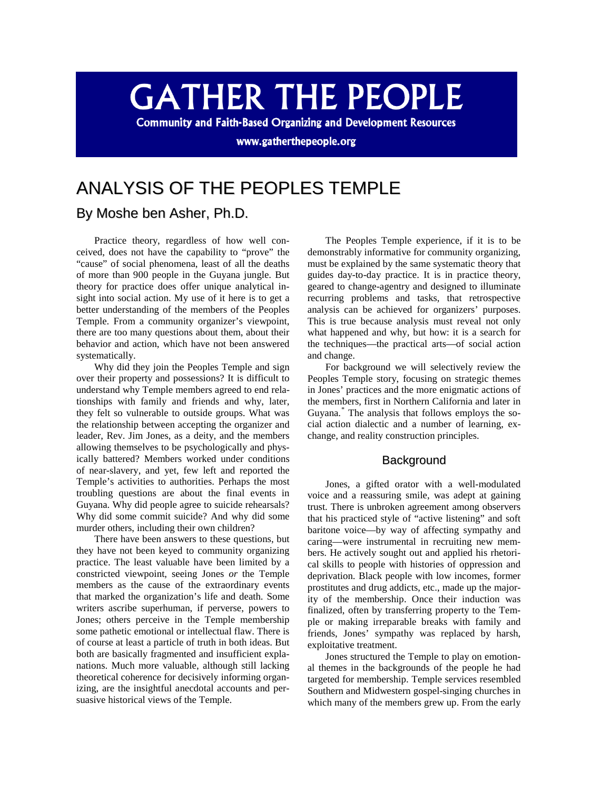# **GATHER THE PEOPLE**

**Community and Faith-Based Organizing and Development Resources** 

www.gatherthepeople.org

## ANALYSIS OF THE PEOPLES TEMPLE

### By Moshe ben Asher, Ph.D.

Practice theory, regardless of how well conceived, does not have the capability to "prove" the "cause" of social phenomena, least of all the deaths of more than 900 people in the Guyana jungle. But theory for practice does offer unique analytical insight into social action. My use of it here is to get a better understanding of the members of the Peoples Temple. From a community organizer's viewpoint, there are too many questions about them, about their behavior and action, which have not been answered systematically.

Why did they join the Peoples Temple and sign over their property and possessions? It is difficult to understand why Temple members agreed to end relationships with family and friends and why, later, they felt so vulnerable to outside groups. What was the relationship between accepting the organizer and leader, Rev. Jim Jones, as a deity, and the members allowing themselves to be psychologically and physically battered? Members worked under conditions of near-slavery, and yet, few left and reported the Temple's activities to authorities. Perhaps the most troubling questions are about the final events in Guyana. Why did people agree to suicide rehearsals? Why did some commit suicide? And why did some murder others, including their own children?

There have been answers to these questions, but they have not been keyed to community organizing practice. The least valuable have been limited by a constricted viewpoint, seeing Jones *or* the Temple members as the cause of the extraordinary events that marked the organization's life and death. Some writers ascribe superhuman, if perverse, powers to Jones; others perceive in the Temple membership some pathetic emotional or intellectual flaw. There is of course at least a particle of truth in both ideas. But both are basically fragmented and insufficient explanations. Much more valuable, although still lacking theoretical coherence for decisively informing organizing, are the insightful anecdotal accounts and persuasive historical views of the Temple.

The Peoples Temple experience, if it is to be demonstrably informative for community organizing, must be explained by the same systematic theory that guides day-to-day practice. It is in practice theory, geared to change-agentry and designed to illuminate recurring problems and tasks, that retrospective analysis can be achieved for organizers' purposes. This is true because analysis must reveal not only what happened and why, but how: it is a search for the techniques—the practical arts—of social action and change.

For background we will selectively review the Peoples Temple story, focusing on strategic themes in Jones' practices and the more enigmatic actions of the members, first in Northern California and later in Guyana.[\\*](#page-3-0) The analysis that follows employs the social action dialectic and a number of learning, exchange, and reality construction principles.

#### **Background**

Jones, a gifted orator with a well-modulated voice and a reassuring smile, was adept at gaining trust. There is unbroken agreement among observers that his practiced style of "active listening" and soft baritone voice—by way of affecting sympathy and caring—were instrumental in recruiting new members. He actively sought out and applied his rhetorical skills to people with histories of oppression and deprivation. Black people with low incomes, former prostitutes and drug addicts, etc., made up the majority of the membership. Once their induction was finalized, often by transferring property to the Temple or making irreparable breaks with family and friends, Jones' sympathy was replaced by harsh, exploitative treatment.

Jones structured the Temple to play on emotional themes in the backgrounds of the people he had targeted for membership. Temple services resembled Southern and Midwestern gospel-singing churches in which many of the members grew up. From the early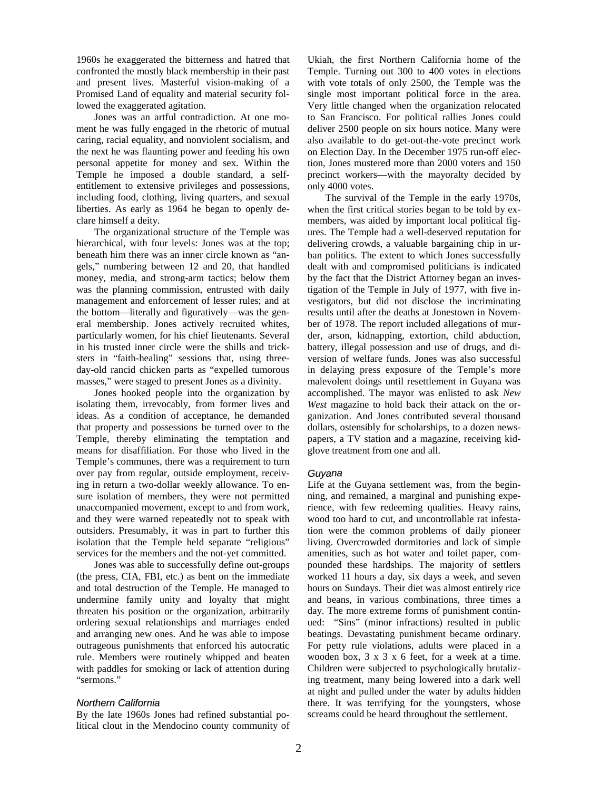1960s he exaggerated the bitterness and hatred that confronted the mostly black membership in their past and present lives. Masterful vision-making of a Promised Land of equality and material security followed the exaggerated agitation.

Jones was an artful contradiction. At one moment he was fully engaged in the rhetoric of mutual caring, racial equality, and nonviolent socialism, and the next he was flaunting power and feeding his own personal appetite for money and sex. Within the Temple he imposed a double standard, a selfentitlement to extensive privileges and possessions, including food, clothing, living quarters, and sexual liberties. As early as 1964 he began to openly declare himself a deity.

The organizational structure of the Temple was hierarchical, with four levels: Jones was at the top; beneath him there was an inner circle known as "angels," numbering between 12 and 20, that handled money, media, and strong-arm tactics; below them was the planning commission, entrusted with daily management and enforcement of lesser rules; and at the bottom—literally and figuratively—was the general membership. Jones actively recruited whites, particularly women, for his chief lieutenants. Several in his trusted inner circle were the shills and tricksters in "faith-healing" sessions that, using threeday-old rancid chicken parts as "expelled tumorous masses," were staged to present Jones as a divinity.

Jones hooked people into the organization by isolating them, irrevocably, from former lives and ideas. As a condition of acceptance, he demanded that property and possessions be turned over to the Temple, thereby eliminating the temptation and means for disaffiliation. For those who lived in the Temple's communes, there was a requirement to turn over pay from regular, outside employment, receiving in return a two-dollar weekly allowance. To ensure isolation of members, they were not permitted unaccompanied movement, except to and from work, and they were warned repeatedly not to speak with outsiders. Presumably, it was in part to further this isolation that the Temple held separate "religious" services for the members and the not-yet committed.

Jones was able to successfully define out-groups (the press, CIA, FBI, etc.) as bent on the immediate and total destruction of the Temple. He managed to undermine family unity and loyalty that might threaten his position or the organization, arbitrarily ordering sexual relationships and marriages ended and arranging new ones. And he was able to impose outrageous punishments that enforced his autocratic rule. Members were routinely whipped and beaten with paddles for smoking or lack of attention during "sermons."

#### *Northern California*

By the late 1960s Jones had refined substantial political clout in the Mendocino county community of Ukiah, the first Northern California home of the Temple. Turning out 300 to 400 votes in elections with vote totals of only 2500, the Temple was the single most important political force in the area. Very little changed when the organization relocated to San Francisco. For political rallies Jones could deliver 2500 people on six hours notice. Many were also available to do get-out-the-vote precinct work on Election Day. In the December 1975 run-off election, Jones mustered more than 2000 voters and 150 precinct workers—with the mayoralty decided by only 4000 votes.

The survival of the Temple in the early 1970s, when the first critical stories began to be told by exmembers, was aided by important local political figures. The Temple had a well-deserved reputation for delivering crowds, a valuable bargaining chip in urban politics. The extent to which Jones successfully dealt with and compromised politicians is indicated by the fact that the District Attorney began an investigation of the Temple in July of 1977, with five investigators, but did not disclose the incriminating results until after the deaths at Jonestown in November of 1978. The report included allegations of murder, arson, kidnapping, extortion, child abduction, battery, illegal possession and use of drugs, and diversion of welfare funds. Jones was also successful in delaying press exposure of the Temple's more malevolent doings until resettlement in Guyana was accomplished. The mayor was enlisted to ask *New West* magazine to hold back their attack on the organization. And Jones contributed several thousand dollars, ostensibly for scholarships, to a dozen newspapers, a TV station and a magazine, receiving kidglove treatment from one and all.

#### *Guyanna*

Life at the Guyana settlement was, from the beginning, and remained, a marginal and punishing experience, with few redeeming qualities. Heavy rains, wood too hard to cut, and uncontrollable rat infestation were the common problems of daily pioneer living. Overcrowded dormitories and lack of simple amenities, such as hot water and toilet paper, compounded these hardships. The majority of settlers worked 11 hours a day, six days a week, and seven hours on Sundays. Their diet was almost entirely rice and beans, in various combinations, three times a day. The more extreme forms of punishment continued: "Sins" (minor infractions) resulted in public beatings. Devastating punishment became ordinary. For petty rule violations, adults were placed in a wooden box, 3 x 3 x 6 feet, for a week at a time. Children were subjected to psychologically brutalizing treatment, many being lowered into a dark well at night and pulled under the water by adults hidden there. It was terrifying for the youngsters, whose screams could be heard throughout the settlement.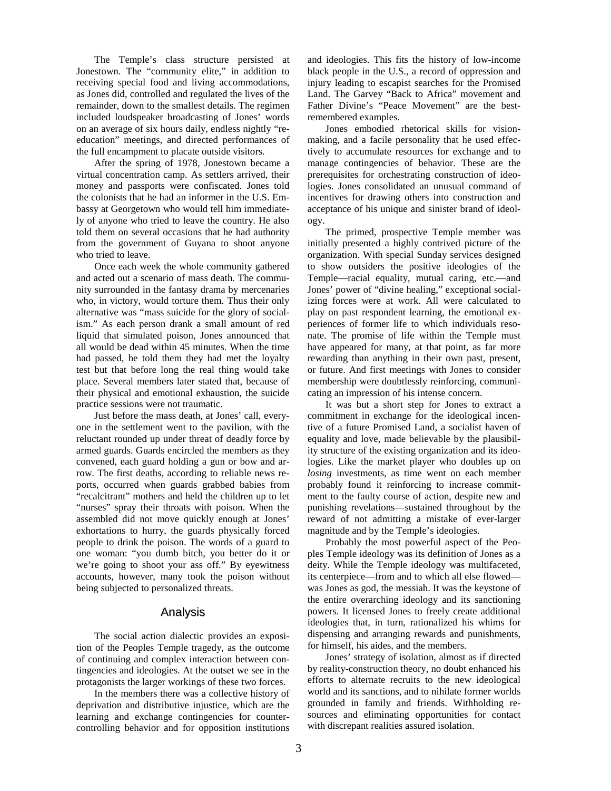The Temple's class structure persisted at Jonestown. The "community elite," in addition to receiving special food and living accommodations, as Jones did, controlled and regulated the lives of the remainder, down to the smallest details. The regimen included loudspeaker broadcasting of Jones' words on an average of six hours daily, endless nightly "reeducation" meetings, and directed performances of the full encampment to placate outside visitors.

After the spring of 1978, Jonestown became a virtual concentration camp. As settlers arrived, their money and passports were confiscated. Jones told the colonists that he had an informer in the U.S. Embassy at Georgetown who would tell him immediately of anyone who tried to leave the country. He also told them on several occasions that he had authority from the government of Guyana to shoot anyone who tried to leave.

Once each week the whole community gathered and acted out a scenario of mass death. The community surrounded in the fantasy drama by mercenaries who, in victory, would torture them. Thus their only alternative was "mass suicide for the glory of socialism." As each person drank a small amount of red liquid that simulated poison, Jones announced that all would be dead within 45 minutes. When the time had passed, he told them they had met the loyalty test but that before long the real thing would take place. Several members later stated that, because of their physical and emotional exhaustion, the suicide practice sessions were not traumatic.

Just before the mass death, at Jones' call, everyone in the settlement went to the pavilion, with the reluctant rounded up under threat of deadly force by armed guards. Guards encircled the members as they convened, each guard holding a gun or bow and arrow. The first deaths, according to reliable news reports, occurred when guards grabbed babies from "recalcitrant" mothers and held the children up to let "nurses" spray their throats with poison. When the assembled did not move quickly enough at Jones' exhortations to hurry, the guards physically forced people to drink the poison. The words of a guard to one woman: "you dumb bitch, you better do it or we're going to shoot your ass off." By eyewitness accounts, however, many took the poison without being subjected to personalized threats.

#### Analysis

The social action dialectic provides an exposition of the Peoples Temple tragedy, as the outcome of continuing and complex interaction between contingencies and ideologies. At the outset we see in the protagonists the larger workings of these two forces.

In the members there was a collective history of deprivation and distributive injustice, which are the learning and exchange contingencies for countercontrolling behavior and for opposition institutions and ideologies. This fits the history of low-income black people in the U.S., a record of oppression and injury leading to escapist searches for the Promised Land. The Garvey "Back to Africa" movement and Father Divine's "Peace Movement" are the bestremembered examples.

Jones embodied rhetorical skills for visionmaking, and a facile personality that he used effectively to accumulate resources for exchange and to manage contingencies of behavior. These are the prerequisites for orchestrating construction of ideologies. Jones consolidated an unusual command of incentives for drawing others into construction and acceptance of his unique and sinister brand of ideology.

The primed, prospective Temple member was initially presented a highly contrived picture of the organization. With special Sunday services designed to show outsiders the positive ideologies of the Temple—racial equality, mutual caring, etc.—and Jones' power of "divine healing," exceptional socializing forces were at work. All were calculated to play on past respondent learning, the emotional experiences of former life to which individuals resonate. The promise of life within the Temple must have appeared for many, at that point, as far more rewarding than anything in their own past, present, or future. And first meetings with Jones to consider membership were doubtlessly reinforcing, communicating an impression of his intense concern.

It was but a short step for Jones to extract a commitment in exchange for the ideological incentive of a future Promised Land, a socialist haven of equality and love, made believable by the plausibility structure of the existing organization and its ideologies. Like the market player who doubles up on *losing* investments, as time went on each member probably found it reinforcing to increase commitment to the faulty course of action, despite new and punishing revelations—sustained throughout by the reward of not admitting a mistake of ever-larger magnitude and by the Temple's ideologies.

Probably the most powerful aspect of the Peoples Temple ideology was its definition of Jones as a deity. While the Temple ideology was multifaceted, its centerpiece—from and to which all else flowed was Jones as god, the messiah. It was the keystone of the entire overarching ideology and its sanctioning powers. It licensed Jones to freely create additional ideologies that, in turn, rationalized his whims for dispensing and arranging rewards and punishments, for himself, his aides, and the members.

Jones' strategy of isolation, almost as if directed by reality-construction theory, no doubt enhanced his efforts to alternate recruits to the new ideological world and its sanctions, and to nihilate former worlds grounded in family and friends. Withholding resources and eliminating opportunities for contact with discrepant realities assured isolation.